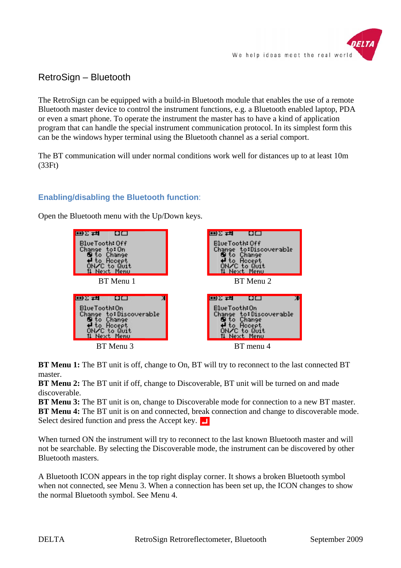

## RetroSign – Bluetooth

The RetroSign can be equipped with a build-in Bluetooth module that enables the use of a remote Bluetooth master device to control the instrument functions, e.g. a Bluetooth enabled laptop, PDA or even a smart phone. To operate the instrument the master has to have a kind of application program that can handle the special instrument communication protocol. In its simplest form this can be the windows hyper terminal using the Bluetooth channel as a serial comport.

The BT communication will under normal conditions work well for distances up to at least 10m (33Ft)

## **Enabling/disabling the Bluetooth function:**



Open the Bluetooth menu with the Up/Down keys.

BT Menu 1: The BT unit is off, change to On, BT will try to reconnect to the last connected BT master.

**BT Menu 2:** The BT unit if off, change to Discoverable, BT unit will be turned on and made discoverable.

BT Menu 3: The BT unit is on, change to Discoverable mode for connection to a new BT master. BT Menu 4: The BT unit is on and connected, break connection and change to discoverable mode. Select desired function and press the Accept key.

When turned ON the instrument will try to reconnect to the last known Bluetooth master and will not be searchable. By selecting the Discoverable mode, the instrument can be discovered by other Bluetooth m masters.

A Bluetooth ICON appears in the top right display corner. It shows a broken Bluetooth symbol when not connected, see Menu 3. When a connection has been set up, the ICON changes to show the normal l Bluetooth symbol. Se e Menu 4.